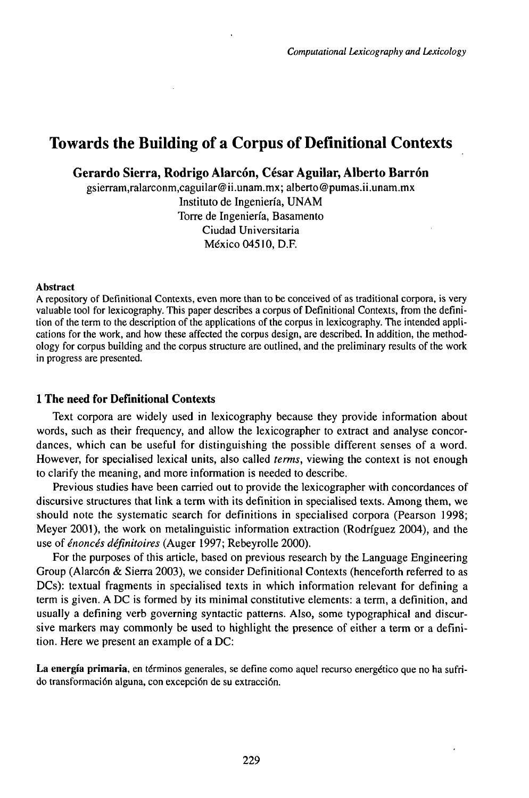# Towards the Building of a Corpus of Definitional Contexts

**Gerardo Sierra, Rodrigo Alarcón, César Aguilar, Alberto Barrón**

gsierram,ralarconm,caguilar@ii.unam.mx; alberto@pumas.ii.unam.mx Instituto de Ingeniería, UNAM Torre de Ingeniería, Basamento Ciudad Universitaria México 04510, D.F.

#### Abstract

A repository of Definitional Contexts, even more than to be conceived of as traditional corpora, is very valuable tool for lexicography. This paper describes a corpus of Definitional Contexts, from the definition of the term to the description of the applications of the corpus in lexicography. The intended applications for the work, and how these affected the corpus design, are described. In addition, the methodology for corpus building and the corpus structure are outlined, and the preliminary results of the work in progress are presented.

# **1 The need for Definitional Contexts**

Text corpora are widely used in lexicography because they provide information about words, such as their frequency, and allow the lexicographer to extract and analyse concordances, which can be useful for distinguishing the possible different senses of a word. However, for specialised lexical units, also called *terms,* viewing the context is not enough to clarify the meaning, and more information is needed to describe.

Previous studies have been carried out to provide the lexicographer with concordances of discursive structures that link a term with its definition in specialised texts. Among them, we should note the systematic search for definitions in specialised corpora (Pearson 1998; Meyer 2001), the work on metalinguistic information extraction (Rodriguez 2004), and the use *ofénoncés définitoires* (Auger 1997; Rebeyrolle 2000).

For the purposes of this article, based on previous research by the Language Engineering Group (Alarcón & Sierra 2003), we consider Definitional Contexts (henceforth referred to as DCs): textual fragments in specialised texts in which information relevant for defining a term is given. A DC is formed by its minimal constitutive elements: a term, a definition, and usually a defining verb governing syntactic patterns. Also, some typographical and discursive markers may commonly be used to highlight the presence of either a term or a definition. Here we present an example of a DC:

**La energía primaria,** en términos generales, se define como aquel recurso energético que no ha sufrido transformación alguna, con excepción de su extracción.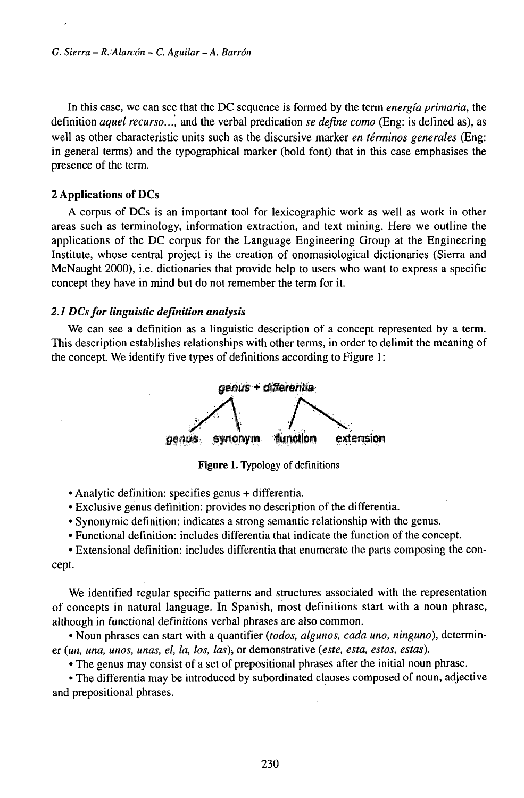In this case, we can see that the DC sequence is formed by the term *energía primaria,* the definition *aquel recurso...,* and the verbal predication *se define como* (Eng: is defined as), as well as other characteristic units such as the discursive marker *en términos generales* (Eng: in general terms) and the typographical marker (bold font) that in this case emphasises the presence of the term.

## **2 Applications of DCs**

A corpus of DCs is an important tool for lexicographic work as well as work in other areas such as terminology, information extraction, and text mining. Here we outline the applications of the DC corpus for the Language Engineering Group at the Engineering Institute, whose central project is the creation of onomasiological dictionaries (Sierra and McNaught 2000), i.e. dictionaries that provide help to users who want to express a specific concept they have in mind but do not remember the term for it.

## *2.1 DCsfor linguistic definition analysis*

We can see a definition as a linguistic description of a concept represented by a term. This description establishes relationships with other terms, in order to delimit the meaning of the concept. We identify five types of definitions according to Figure 1:



**Figure 1.** Typology of definitions

• Analytic definition: specifies genus + differentia.

• Exclusive genus definition: provides no description of the differentia.

- Synonymic definition: indicates a strong semantic relationship with the genus.
- Functional definition: includes differentia that indicate the function of the concept.

• Extensional definition: includes differentia that enumerate the parts composing the concept.

We identified regular specific patterns and structures associated with the representation of concepts in natural language. In Spanish, most definitions start with a noun phrase, although in functional definitions verbal phrases are also common.

• Noun phrases can start with a quantifier *(todos, algunos, cada uno, ninguno),* determiner *(un, una, unos, unas, el, la, los, las),* or demonstrative *(este, esta, estos, estas).*

• The genus may consist of a set of prepositional phrases after the initial noun phrase.

• The differentia may be introduced by subordinated clauses composed of noun, adjective and prepositional phrases.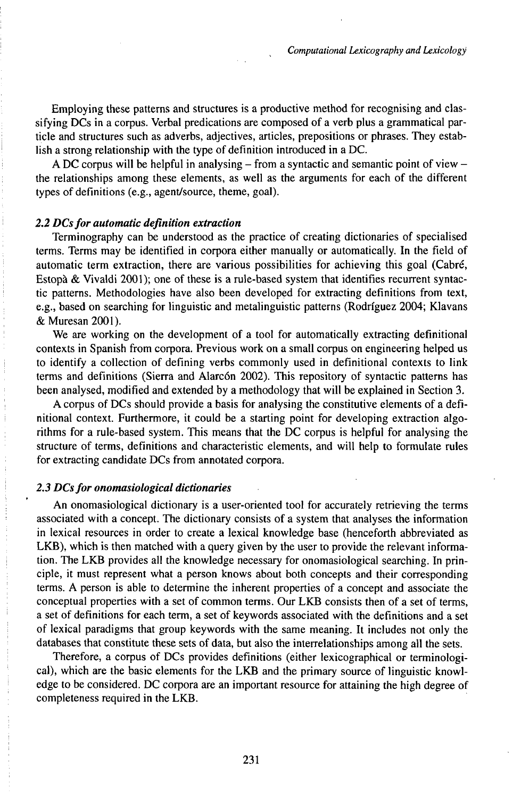Employing these patterns and structures is a productive method for recognising and classifying DCs in a corpus. Verbal predications are composed of a verb plus a grammatical particle and structures such as adverbs, adjectives, articles, prepositions or phrases. They establish a strong relationship with the type of definition introduced in a DC.

A DC corpus will be helpful in analysing  $-$  from a syntactic and semantic point of view  $$ the relationships among these elements, as well as the arguments for each of the different types of definitions (e.g., agent/source, theme, goal).

#### *2.2 DCsfor automatic definition extraction*

Terminography can be understood as the practice of creating dictionaries of specialised terms. Terms may be identified in corpora either manually or automatically. In the field of automatic term extraction, there are various possibilities for achieving this goal (Cabré, Estopà & Vivaldi 2001); one of these is a rule-based system that identifies recurrent syntactic patterns. Methodologies have also been developed for extracting definitions from text, e.g., based on searching for linguistic and metalinguistic patterns (Rodriguez 2004; Klavans &Muresan2001).

We are working on the development of a tool for automatically extracting definitional contexts in Spanish from corpora. Previous work on a small corpus on engineering helped us to identify a collection of defining verbs commonly used in definitional contexts to link terms and definitions (Sierra and Alarcón 2002). This repository of syntactic patterns has been analysed, modified and extended by a methodology that will be explained in Section 3.

A corpus of DCs should provide a basis for analysing the constitutive elements of a definitional context. Furthermore, it could be a starting point for developing extraction algorithms for a rule-based system. This means that the DC corpus is helpful for analysing the structure of terms, definitions and characteristic elements, and will help to formulate rules for extracting candidate DCs from annotated corpora.

# *2.3 DCsfor onomasiological dictionaries*

An onomasiological dictionary is a user-oriented tool for accurately retrieving the terms associated with a concept. The dictionary consists of a system that analyses the information in lexical resources in order to create a lexical knowledge base (henceforth abbreviated as LKB), which is then matched with a query given by the user to provide the relevant information. The LKB provides all the knowledge necessary for onomasiological searching. In principle, it must represent what a person knows about both concepts and their corresponding terms. A person is able to determine the inherent properties of a concept and associate the conceptual properties with a set of common terms. Our LKB consists then of a set of terms, a set of definitions for each term, a set of keywords associated with the definitions and a set of lexical paradigms that group keywords with the same meaning. It includes not only the databases that constitute these sets of data, but also the interrelationships among all the sets.

Therefore, a corpus of DCs provides definitions (either lexicographical or terminological), which are the basic elements for the LKB and the primary source of linguistic knowledge to be considered. DC corpora are an important resource for attaining the high degree of completeness required in the LKB.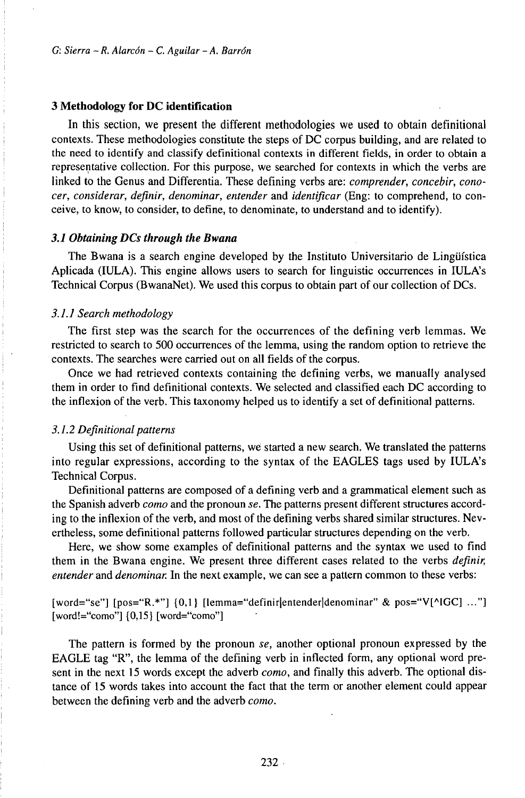#### **3 Methodology for DC identification**

In this section, we present the different methodologies we used to obtain definitional contexts. These methodologies constitute the steps of DC corpus building, and are related to the need to identify and classify definitional contexts in different fields, in order to obtain a representative collection. For this purpose, we searched for contexts in which the verbs are linked to the Genus and Differentia. These defining verbs are: *comprender, concebir, conocer, considerar, definir, denominar, entender* and *identificar* (Eng: to comprehend, to conceive, to know, to consider, to define, to denominate, to understand and to identify).

# *3.1 Obtaining DCs through the Bwana*

The Bwana is a search engine developed by the Instituto Universitario de Lingüística Aplicada (IULA). This engine allows users to search for linguistic occurrences in IULA's Technical Corpus (BwanaNet). We used this corpus to obtain part of our collection of DCs.

#### *3.1.1 Search methodology*

The first step was the search for the occurrences of the defining verb lemmas. We restricted to search to 500 occurrences of the lemma, using the random option to retrieve the contexts. The searches were carried out on all fields of the corpus.

Once we had retrieved contexts containing the defining verbs, we manually analysed them in order to find definitional contexts. We selected and classified each DC according to the inflexion of the verb. This taxonomy helped us to identify a set of definitional patterns.

#### *3.1.2 Definitionalpatterns*

Using this set of definitional patterns, we started a new search. We translated the patterns into regular expressions, according to the syntax of the EAGLES tags used by IULA's Technical Corpus.

Definitional patterns are composed of a defining verb and a grammatical element such as the Spanish adverb *como* and the pronoun *se.* The patterns present different structures according to the inflexion of the verb, and most of the defining verbs shared similar structures. Nevertheless, some definitional patterns followed particular structures depending on the verb.

Here, we show some examples of definitional patterns and the syntax we used to find them in the Bwana engine. We present three different cases related to the verbs *definir, entender* and *denominar.* In the next example, we can see a pattern common to these verbs:

[word="se"] [pos="R.\*"] {0,1} [lemma="definir|entender|denominar" & pos="V[^IGC] ..."] [word!="como"] {0,15} [word="como"]

The pattern is formed by the pronoun *se,* another optional pronoun expressed by the EAGLE tag "R", the lemma of the defining verb in inflected form, any optional word present in the next 15 words except the adverb *como,* and finally this adverb. The optional distance of 15 words takes into account the fact that the term or another element could appear between the defining verb and the adverb *como.*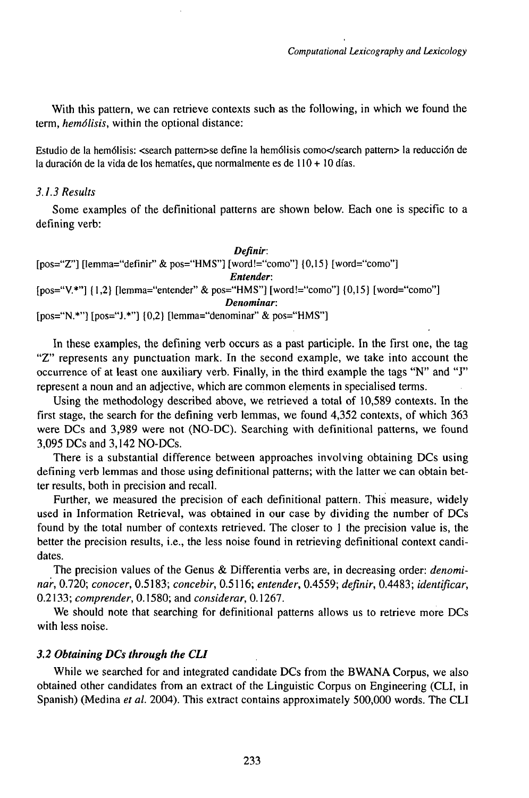With this pattern, we can retrieve contexts such as the following, in which we found the term, *hemólisis,* within the optional distance:

Estudio de la hemólisis: <search pattern>se define la hemólisis como</search pattern> la reducción de la duración de la vida de los hematíes, que normalmente es de  $110 + 10$  días.

# *3.1.3Results*

Some examples of the definitional patterns are shown below. Each one is specific to a defining verb:

*Definir:* [pos="Z"] [lemma="definir" & pos="HMS"] [word!="como"] {0,15} [word="como"] *Entender:*  $[pos="V.*"]$   $\{1,2\}$  [lemma="entender" & pos="HMS"]  $[word!="como"]$   $\{0,15\}$   $[word='como"]$ *Denominar:*  $[pos="N.*"]$   $[pos="J.*"]$   $\{0,2\}$   $[lemma="denominar" & pos="HMS"]$ 

In these examples, the defining verb occurs as a past participle. In the first one, the tag "Z" represents any punctuation mark. In the second example, we take into account the occurrence of at least one auxiliary verb. Finally, in the third example the tags "N" and "J" represent a noun and an adjective, which are common elements in specialised terms.

Using the methodology described above, we retrieved a total of 10,589 contexts. In the first stage, the search for the defining verb lemmas, we found 4,352 contexts, of which 363 were DCs and 3,989 were not (NO-DC). Searching with definitional patterns, we found 3,095 DCs and 3,142 NO-DCs.

There is a substantial difference between approaches involving obtaining DCs using defining verb lemmas and those using definitional patterns; with the latter we can obtain better results, both in precision and recall.

Further, we measured the precision of each definitional pattern. This measure, widely used in Information Retrieval, was obtained in our case by dividing the number of DCs found by the total number of contexts retrieved. The closer to <sup>1</sup> the precision value is, the better the precision results, i.e., the less noise found in retrieving definitional context candidates.

The precision values of the Genus & Differentia verbs are, in decreasing order: *denominar,* 0.720; *conocer,* 0.5183; *concebir,* 0.5116; *entender,* 0.4559; *definir,* 0.4483; *identificar,* 0.2133; *comprender,* 0.1580; and *considerar,* 0.1267.

We should note that searching for definitional patterns allows us to retrieve more DCs with less noise.

#### *3.2 Obtaining DCs through the CLI*

While we searched for and integrated candidate DCs from the BWANA Corpus, we also obtained other candidates from an extract of the Linguistic Corpus on Engineering (CLI, in Spanish) (Medina *et al.* 2004). This extract contains approximately 500,000 words. The CLI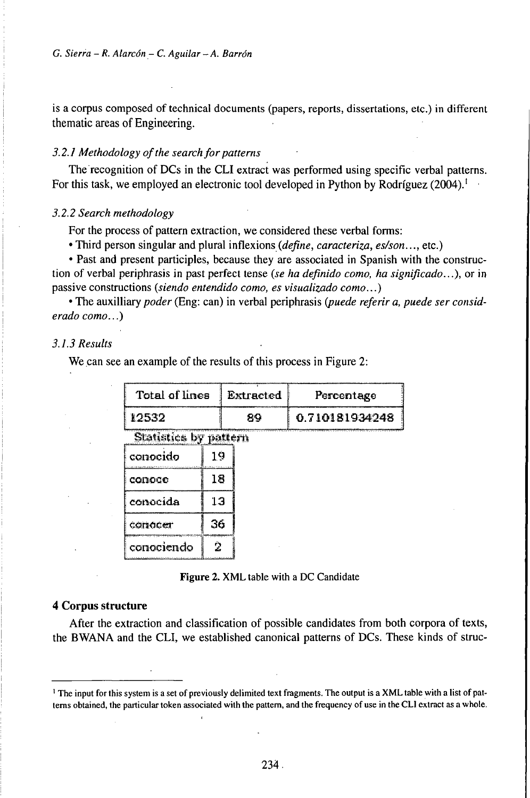is a corpus composed of technical documents (papers, reports, dissertations, etc.) in different thematic areas of Engineering.

# 3.2.1 Methodology of the search for patterns

The recognition of DCs in the CLI extract was performed using specific verbal patterns. For this task, we employed an electronic tool developed in Python by Rodríguez (2004).<sup>1</sup>

#### 3.2.2 Search methodology

For the process of pattern extraction, we considered these verbal forms:

• Third person singular and plural inflexions (define, caracteriza, es/son..., etc.)

• Past and present participles, because they are associated in Spanish with the construction of verbal periphrasis in past perfect tense (se ha definido como, ha significado...), or in passive constructions (siendo entendido como, es visualizado como...)

• The auxilliary poder (Eng: can) in verbal periphrasis (puede referir a, puede ser considerado como...)

# 3.1.3 Results

We can see an example of the results of this process in Figure 2:

| Total of lines | Extracted | Percentage     |
|----------------|-----------|----------------|
| 112532         | 89        | 0.710181934248 |

Statistics by pattern

| conocido   | 19 |
|------------|----|
| comoco     | 18 |
| conocida   | 13 |
| conocer    | 36 |
| conociendo |    |

Figure 2. XML table with a DC Candidate

# 4 Corpus structure

After the extraction and classification of possible candidates from both corpora of texts, the BWANA and the CLI, we established canonical patterns of DCs. These kinds of struc-

<sup>&</sup>lt;sup>1</sup> The input for this system is a set of previously delimited text fragments. The output is a XML table with a list of patterns obtained, the particular token associated with the pattern, and the frequency of use in the CLI extract as a whole.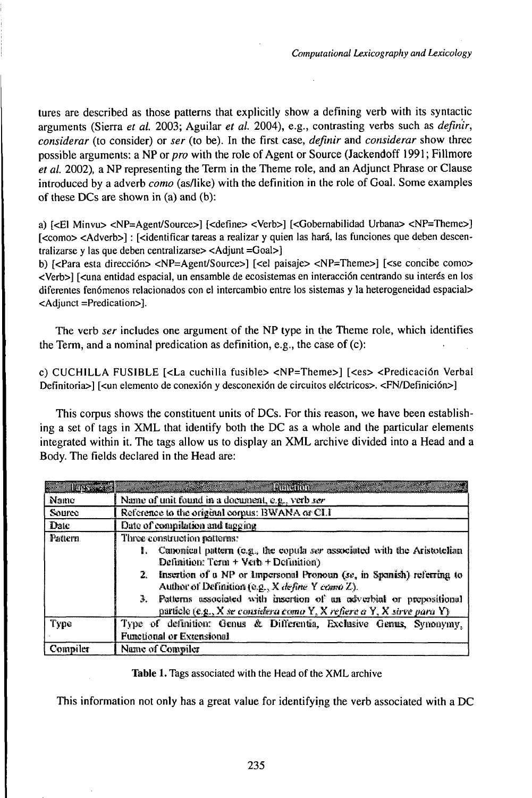tures are described as those patterns that explicitly show a defining verb with its syntactic arguments (Sierra *et al.* 2003; Aguilar *et al.* 2004), e.g., contrasting verbs such as *definir, considerar* (to consider) or *ser* (to be). In the first case, *definir* and *considerar* show three possible arguments: a NP or *pro* with the role of Agent or Source (Jackendoff 1991; Fillmore *et al.* 2002), a NP representing the Term in the Theme role, and an Adjunct Phrase or Clause introduced by a adverb *como* (as/like) with the definition in the role of Goal. Some examples of these DCs are shown in  $(a)$  and  $(b)$ :

a) [<E1 Minvu> <NP=Agent/Source>] [<define> <Verb>] [<Gobernabilidad Urbana> <NP=Theme>] [<como> <Adverb>] : [<identificar tareas a realizar y quien las hará, las funciones que deben descentralizarse y las que deben centralizarse> <Adjunt =Goal>]

b) [<Para esta dirección> <NP=Agent/Source>] [<el paisaje> <NP=Theme>] [<se concibe como> <Verb>] [<una entidad espacial, un ensamble de ecosistemas en interacción centrando su interés en los diferentes fenómenos relacionados con el intercambio entre los sistemas y la heterogeneidad espacial> <Adjunct =Predication>].

The verb *ser* includes one argument of the NP type in the Theme role, which identifies the Term, and a nominal predication as definition, e.g., the case of (c):

c) CUCHILLA FUSIBLE [<La cuchilla fusible> <NP=Theme>] [<es> <Predicacion Verbal Definitoria>] [<un elemento de conexión y desconexión de circuitos eléctricos>. <FN/Definición>]

This corpus shows the constituent units of DCs. For this reason, we have been establishing a set of tags in XML that identify both the DC as a whole and the particular elements integrated within it. The tags allow us to display an XML archive divided into a Head and a Body. The fields declared in the Head are:

|          | Body. The fields declared in the Head are:                                                                                                        |
|----------|---------------------------------------------------------------------------------------------------------------------------------------------------|
|          |                                                                                                                                                   |
| BETRES   | la lingvon                                                                                                                                        |
| Name     | Name of unit found in a document, e.g., verb ser                                                                                                  |
| Source   | Reference to the original corpus: BWANA or CLI                                                                                                    |
| Date     | Date of exampliation and tagging                                                                                                                  |
| Pattern. | Three construction reflems:                                                                                                                       |
|          | 1. Canonical pattern (e.g., the copula ser associated with the Aristotelian<br>Definition: $Term + Veth + Definition$                             |
|          | 2. Insertion of a NP or Impersonal Pronoun (se, in Spanish) referring to<br>Author of Definition (e.g., X define Y cama Z).                       |
|          | 3. Patterns associated with insertion of an adverbial or prepositional<br>particle (e.g., X se contrelera como Y, X refiere o Y, X sirve para Y). |
| Type     | Type of definition: Genus & Differentia, Exclusive Genus, Synonymy,                                                                               |
|          | Functional or Extensional                                                                                                                         |
| Compiler | Name of Compiler                                                                                                                                  |

Table 1. Tags associated with the Head of the XML archive

This information not only has a great value for identifying the verb associated with a DC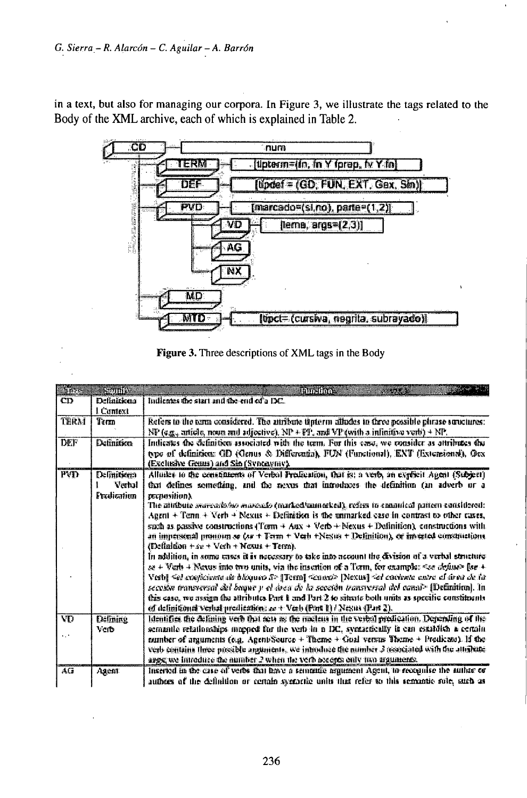in a text, but also for managing our corpora. In Figure 3, we illustrate the tags related to the Body of the XML archive, each of which is explained in Table 2.



| Figure 3. Three descriptions of XML tags in the Body |  |  |
|------------------------------------------------------|--|--|
|                                                      |  |  |

| <b>Sara</b>            | Centrica                              | <b>Tampirime</b>                                                                                                                                                                                                                                                                                                                                                                                                                                                                                                                                                                                                                                                                                                                                                                                                                                                                                                                                                                                                                                                                                                                                                                                                                                               |
|------------------------|---------------------------------------|----------------------------------------------------------------------------------------------------------------------------------------------------------------------------------------------------------------------------------------------------------------------------------------------------------------------------------------------------------------------------------------------------------------------------------------------------------------------------------------------------------------------------------------------------------------------------------------------------------------------------------------------------------------------------------------------------------------------------------------------------------------------------------------------------------------------------------------------------------------------------------------------------------------------------------------------------------------------------------------------------------------------------------------------------------------------------------------------------------------------------------------------------------------------------------------------------------------------------------------------------------------|
| CD                     | <b>Definitions</b><br>I. Camext       | Indianes the start and the end of a DC.                                                                                                                                                                                                                                                                                                                                                                                                                                                                                                                                                                                                                                                                                                                                                                                                                                                                                                                                                                                                                                                                                                                                                                                                                        |
| TERM                   | Term                                  | Refers to the term considered. The attribute tipterm alludes to three possible phrase sunctures:<br>NP ( $a_{\frac{m}{2a}}$ , article, noon and adjective), NP + FP, and VP (with a infinition verb) + NP.                                                                                                                                                                                                                                                                                                                                                                                                                                                                                                                                                                                                                                                                                                                                                                                                                                                                                                                                                                                                                                                     |
| <b>DEF</b>             | <b>Definition</b>                     | Indicates the definition associated with the term. For this case, we consider as attributes the<br>type of definition: GD (Genus & Differentia), FUN (Functional), ENT (Extensional), Ocx<br>(Exclusive Genus) and Sin (Syntaymy).                                                                                                                                                                                                                                                                                                                                                                                                                                                                                                                                                                                                                                                                                                                                                                                                                                                                                                                                                                                                                             |
| <b>PVD</b>             | Definitional<br>Verhal<br>Fredication | Allinka to the constituents of Verbal Predication, that is: a verb, an explicit Agent (Subject)<br>that defines something, and the nexus that introduces the definition (an adverb or a<br><b>zecnosition).</b><br>The attribute overceeds/so marculo (marked/aumerked), refers to examined pattern considered:<br>Agent + Tenn + Verb + Nexus + Definition is the animarked case in contrast to other cases,<br>such as passive constructions (Term $+$ Anx $+$ Verb $+$ Nexus $+$ Definition), constructions with<br>an impersonal promoter se (se + Term + Verb +Nestin + Definition), or invested constructions.<br>(Definition $+se+Vech+Nexus+Term$ ).<br>In addition, in some cases it is necessary to take into account the division of a verbal structure<br>se + 'Verb + Nexus into two units, via the insertion of a Term, for example: «see define» [se +<br>Vestil Sel coefficiente de bloqueo S> [Term] Senoro> [Nexus] Sel coolonia autre al drea de la<br>secosion transversal sivi buque y el drea do la secosión transversal del canal» [Definitiva]. In<br>this case, we assign the attributes Part 1 and Part 2 to situate both units as specific constituents<br>of definitional verbal predication; as + Verb (Port 1) / Nesus (Part 2). |
| VD<br>$\mathbf{r}_i$ . | Defining<br>Verb                      | Identifies the defining verb that sets as the meetens in the verbal prodication. Depending of the<br>semantle relationships mapped for the verb in a DC, syntactically is can establish a certain.<br>number of arguments (e.g. Agent/Source + Theme + Goal versus Theme + Predicted). If the<br>verb contains three presible arguments, we inmoduce the number 3 resociated with the attribute<br>arge we introduce the number 2 when the verb accepts only two arguments.                                                                                                                                                                                                                                                                                                                                                                                                                                                                                                                                                                                                                                                                                                                                                                                    |
| AG                     | Agent                                 | Inserved in the case of verbs that have a semantic argument Agent, to receptive the nutties or<br>authors of the definition or certain syntactic units that refer to this semantic role, such as                                                                                                                                                                                                                                                                                                                                                                                                                                                                                                                                                                                                                                                                                                                                                                                                                                                                                                                                                                                                                                                               |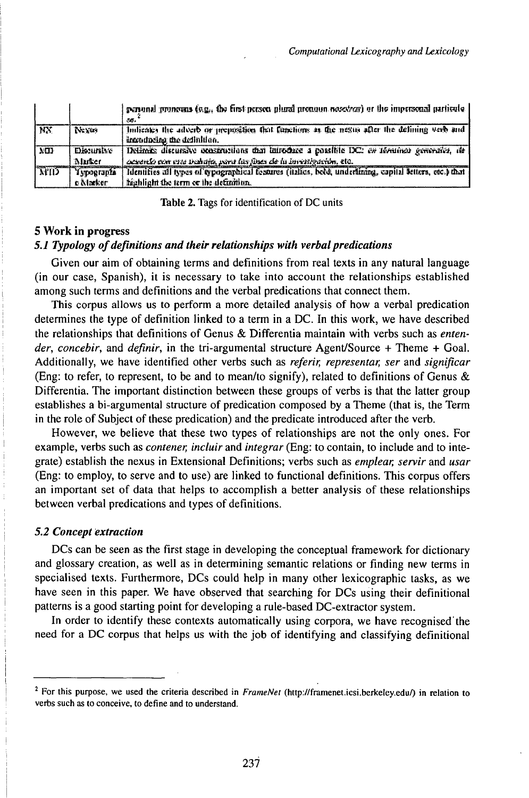|             |                   | personal pronouss (e.g., the first person plural pronoun nosotror) or the impersonal particule<br>35.                      |
|-------------|-------------------|----------------------------------------------------------------------------------------------------------------------------|
| <b>TIX</b>  | Nevas             | Indicates the adverb or prepasition that functions as the nesus after the defining werb and<br>introducing the definition. |
| MD          | <b>Distursive</b> | Delimits discursive constructions that introduce a possible DC: en terrative generates, the                                |
|             | <b>Marker</b>     | acounts con ette trabata, port las lines de la invenigación, etc.                                                          |
| <b>NIIT</b> | Typographs        | Identifies all types of eypographical festures (italies, bobl, underlining, capital setters, etc.) that                    |
|             | e Marker.         | highlight the term or the definition.                                                                                      |

Table 2. Tags for identification of DC units

# 5 Work in progress

# 5.1 Typology of definitions and their relationships with verbal predications

Given our aim of obtaining terms and definitions from real texts in any natural language (in our case, Spanish), it is necessary to take into account the relationships established among such terms and definitions and the verbal predications that connect them.

This corpus allows us to perform a more detailed analysis of how a verbal predication determines the type of definition linked to a term in a DC. In this work, we have described the relationships that definitions of Genus & Differentia maintain with verbs such as entender, concebir, and definir, in the tri-argumental structure Agent/Source + Theme + Goal. Additionally, we have identified other verbs such as *referir*, *representar*, *ser* and *significar* (Eng: to refer, to represent, to be and to mean/to signify), related to definitions of Genus & Differentia. The important distinction between these groups of verbs is that the latter group establishes a bi-argumental structure of predication composed by a Theme (that is, the Term in the role of Subject of these predication) and the predicate introduced after the verb.

However, we believe that these two types of relationships are not the only ones. For example, verbs such as *contener, incluir* and *integrar* (Eng: to contain, to include and to integrate) establish the nexus in Extensional Definitions; verbs such as *emplear*, servir and usar (Eng: to employ, to serve and to use) are linked to functional definitions. This corpus offers an important set of data that helps to accomplish a better analysis of these relationships between verbal predications and types of definitions.

# **5.2 Concept extraction**

DCs can be seen as the first stage in developing the conceptual framework for dictionary and glossary creation, as well as in determining semantic relations or finding new terms in specialised texts. Furthermore, DCs could help in many other lexicographic tasks, as we have seen in this paper. We have observed that searching for DCs using their definitional patterns is a good starting point for developing a rule-based DC-extractor system.

In order to identify these contexts automatically using corpora, we have recognised the need for a DC corpus that helps us with the job of identifying and classifying definitional

<sup>&</sup>lt;sup>2</sup> For this purpose, we used the criteria described in FrameNet (http://framenet.icsi.berkeley.edu/) in relation to verbs such as to conceive, to define and to understand.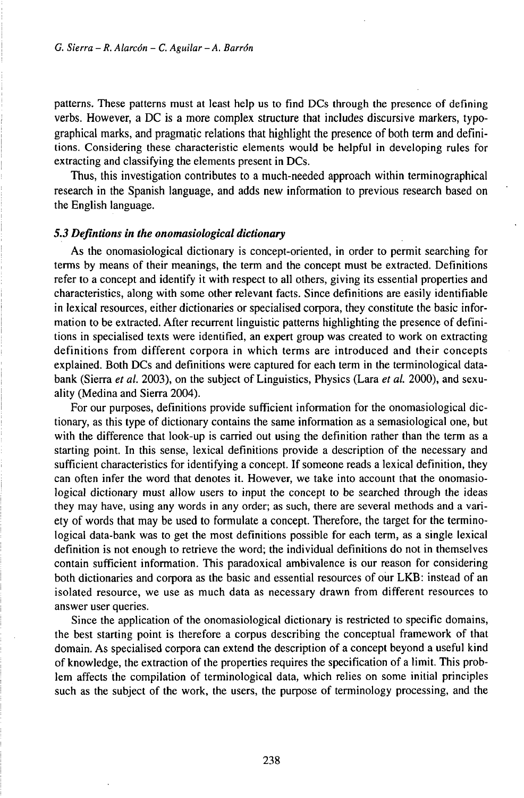patterns. These patterns must at least help us to find DCs through the presence of defining verbs. However, a DC is a more complex structure that includes discursive markers, typographical marks, and pragmatic relations that highlight the presence of both term and definitions. Considering these characteristic elements would be helpful in developing rules for extracting and classifying the elements present in DCs.

Thus, this investigation contributes to a much-needed approach within terminographical research in the Spanish language, and adds new information to previous research based on the English language.

#### *5.3 Defintions in the onomasiological dictionary*

As the onomasiological dictionary is concept-oriented, in order to permit searching for terms by means of their meanings, the term and the concept must be extracted. Definitions refer to a concept and identify it with respect to all others, giving its essential properties and characteristics, along with some other relevant facts. Since definitions are eásily identifiable in lexical resources, either dictionaries or specialised corpora, they constitute the basic information to be extracted. After recurrent linguistic patterns highlighting the presence of definitions in specialised texts were identified, an expert group was created to work on extracting definitions from different corpora in which terms are introduced and their concepts explained. Both DCs and definitions were captured for each term in the terminological databank (Sierra *et al.* 2003), on the subject of Linguistics, Physics (Lara *et al.* 2000), and sexuality (Medina and Sierra 2004).

For our purposes, definitions provide sufficient information for the onomasiological dictionary, as this type of dictionary contains the same information as a semasiological one, but with the difference that look-up is carried out using the definition rather than the term as a starting point. In this sense, lexical definitions provide a description of the necessary and sufficient characteristics for identifying a concept. If someone reads a lexical definition, they can often infer the word that denotes it. However, we take into account that the onomasiological dictionary must allow users to input the concept to be searched through the ideas they may have, using any words in any order; as such, there are several methods and a variety of words that may be used to formulate a concept. Therefore, the target for the terminological data-bank was to get the most definitions possible for each term, as a single lexical definition is not enough to retrieve the word; the individual definitions do not in themselves contain sufficient information. This paradoxical ambivalence is our reason for considering both dictionaries and corpora as the basic and essential resources of our LKB: instead of an isolated resource, we use as much data as necessary drawn from different resources to answer user queries.

Since the application of the onomasiological dictionary is restricted to specific domains, the best starting point is therefore a corpus describing the conceptual framework of that domain. As specialised corpora can extend the description of a concept beyond a useful kind of knowledge, the extraction of the properties requires the specification of a limit. This problem affects the compilation of terminological data, which relies on some initial principles such as the subject of the work, the users, the purpose of terminology processing, and the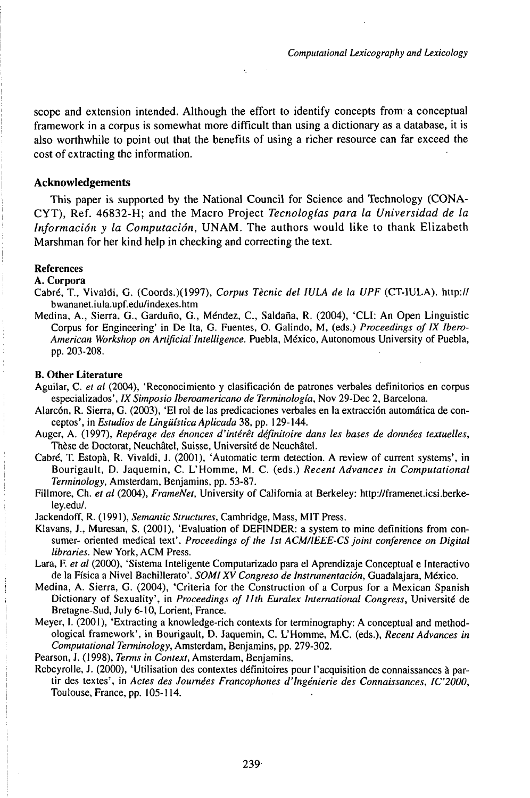scope and extension intended. Although the effort to identify concepts from a conceptual framework in a corpus is somewhat more difficult than using a dictionary as a database, it is also worthwhile to point out that the benefits of using a richer resource can far exceed the cost of extracting the information.

### **Acknowledgements**

This paper is supported by the National Council for Science and Technology (CONA-CYT), Ref. 46832-H; and the Macro Project *Tecnologías para la Universidad de la Información y la Computación,* UNAM. The authors would like to thank Elizabeth Marshman for her kind help in checking and correcting the text.

### **References**

#### **A. Corpora**

- Cabré, T., Vivaldi, G. (Coords.)(1997), *Corpus Tècnic del lULA de la UPF* (CT-lULA). http:// bwananet.iula.upf.edu/indexes.htm
- Medina, A., Sierra, G., Garduflo, G., Méndez, C., Saldaña, R. (2004), 'CLI: An Open Linguistic Corpus for Engineering' in De Ita, G. Fuentes, O. Galindo, M, (eds.) *Proceedings of IX Ibero-American Workshop on ArtificiaiIntelligence.* Puebla, México, Autonomous University of Puebla, pp. 203-208.

#### **B. Other Literature**

- Aguilar, C. *et al* (2004), 'Reconocimiento y clasificación de patrones verbales definitorios en corpus especializados', *IX Simposio Iberoamericano de Terminología,* Nov 29-Dec 2, Barcelona.
- Alarcón, R. Sierra, G. (2003), 'El rol de las predicaciones verbales en la extracción automática de conceptos', in *Estudios de Lingüística Aplicada* 38, pp. 129-144.
- Auger, A. (1997), *Repérage des énonces d'intérêt définitoire dans les bases de données textuelles,* Thèse de Doctorat, Neuchâtel, Suisse, Université de Neuchâtel.
- Cabré, T. Estopà, R. Vivaldi, J. (2001), 'Automatic term detection. A review of current systems', in Bourigault, D. Jaquemin, C. L'Homme, M. C. (eds.) *RecentAdvances in Computational Terminology,* Amsterdam, Benjamins, pp. 53-87.
- Fillmore, Ch. *et al* (2004), *FrameNet,* University of California at Berkeley: http://framenet.icsi.berkeley.edu/.
- Jackendoff, R. (1991), *Semantic Structures,* Cambridge, Mass, MIT Press.
- Klavans, J., Muresan, S. (2001), 'Evaluation of DEFINDER: a system to mine definitions from consumer- oriented medical text'. *Proceedings of the 1st ACM/IEEE-CS joint conference on Digital libraries.* New York, ACM Press.
- Lara, F. *et al* (2000), 'Sistema Inteligente Computarizado para el Aprendizaje Conceptual e Interactivo de la Física a Nivel Bachillerato'. *SOMIXV Congreso de Instrumentación,* Guadalajara, México.
- Medina, A. Sierra, G. (2004), 'Criteria for the Construction of a Corpus for a Mexican Spanish Dictionary of Sexuality', in *Proceedings oflJth Euralex International Congress,* Université de Bretagne-Sud, July 6-10, Lorient, France.
- Meyer, I. (2001), 'Extracting a knowledge-rich contexts for terminography: A conceptual and methodological framework', in Bourigault, D. Jaquemin, C. L'Homme, M.C. (eds.), *Recent Advances in Computational Terminology,* Amsterdam, Benjamins, pp. 279-302.
- Pearson, J. (1998), *Terms in Context,* Amsterdam, Benjamins.
- Rebeyrolle, J. (2000), 'Utilisation des contextes définitoires pour l'acquisition de connaissances à partir des textes', in *Actes des Journées Francophones d'Ingénierie des Connaissances, IC'2000,* Toulouse, France, pp. 105-114.